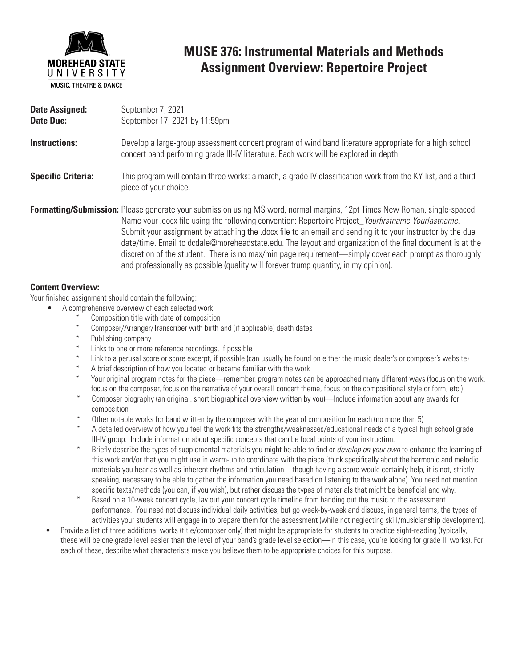

### **MUSE 376: Instrumental Materials and Methods Assignment Overview: Repertoire Project**

| <b>Date Assigned:</b><br><b>Date Due:</b> | September 7, 2021<br>September 17, 2021 by 11:59pm                                                                                                                                                                                                                                                                                                                                                                                                                                                                                                                                                                                                                   |
|-------------------------------------------|----------------------------------------------------------------------------------------------------------------------------------------------------------------------------------------------------------------------------------------------------------------------------------------------------------------------------------------------------------------------------------------------------------------------------------------------------------------------------------------------------------------------------------------------------------------------------------------------------------------------------------------------------------------------|
| <b>Instructions:</b>                      | Develop a large-group assessment concert program of wind band literature appropriate for a high school<br>concert band performing grade III-IV literature. Each work will be explored in depth.                                                                                                                                                                                                                                                                                                                                                                                                                                                                      |
| <b>Specific Criteria:</b>                 | This program will contain three works: a march, a grade IV classification work from the KY list, and a third<br>piece of your choice.                                                                                                                                                                                                                                                                                                                                                                                                                                                                                                                                |
|                                           | <b>Formatting/Submission:</b> Please generate your submission using MS word, normal margins, 12pt Times New Roman, single-spaced.<br>Name your docx file using the following convention: Repertoire Project Yourfirstname Yourlastname.<br>Submit your assignment by attaching the docx file to an email and sending it to your instructor by the due<br>date/time. Email to dcdale@moreheadstate.edu. The layout and organization of the final document is at the<br>discretion of the student. There is no max/min page requirement—simply cover each prompt as thoroughly<br>and professionally as possible (quality will forever trump quantity, in my opinion). |

### **Content Overview:**

Your finished assignment should contain the following:

- A comprehensive overview of each selected work
	- Composition title with date of composition
	- \* Composer/Arranger/Transcriber with birth and (if applicable) death dates
	- Publishing company
	- Links to one or more reference recordings, if possible
	- Link to a perusal score or score excerpt, if possible (can usually be found on either the music dealer's or composer's website)
	- \* A brief description of how you located or became familiar with the work
	- Your original program notes for the piece—remember, program notes can be approached many different ways (focus on the work, focus on the composer, focus on the narrative of your overall concert theme, focus on the compositional style or form, etc.)
	- \* Composer biography (an original, short biographical overview written by you)—Include information about any awards for composition<br>\* Other natable
	- \* Other notable works for band written by the composer with the year of composition for each (no more than 5)<br>\* A detailed exerging of bouy was fool the work fite the strengthe (weekpeesee (educational peeds of a tuninal b
	- A detailed overview of how you feel the work fits the strengths/weaknesses/educational needs of a typical high school grade III-IV group. Include information about specific concepts that can be focal points of your instruction.
	- \* Briefly describe the types of supplemental materials you might be able to find or *develop on your own* to enhance the learning of this work and/or that you might use in warm-up to coordinate with the piece (think specifically about the harmonic and melodic materials you hear as well as inherent rhythms and articulation—though having a score would certainly help, it is not, strictly speaking, necessary to be able to gather the information you need based on listening to the work alone). You need not mention specific texts/methods (you can, if you wish), but rather discuss the types of materials that might be beneficial and why.
	- Based on a 10-week concert cycle, lay out your concert cycle timeline from handing out the music to the assessment performance. You need not discuss individual daily activities, but go week-by-week and discuss, in general terms, the types of activities your students will engage in to prepare them for the assessment (while not neglecting skill/musicianship development).
- Provide a list of three additional works (title/composer only) that might be appropriate for students to practice sight-reading (typically, these will be one grade level easier than the level of your band's grade level selection—in this case, you're looking for grade III works). For each of these, describe what characterists make you believe them to be appropriate choices for this purpose.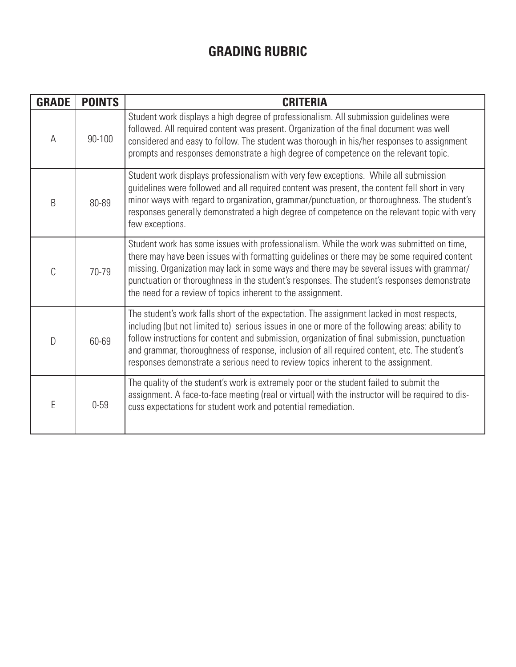# **GRADING RUBRIC**

| <b>GRADE</b> | <b>POINTS</b> | <b>CRITERIA</b>                                                                                                                                                                                                                                                                                                                                                                                                                                                                     |
|--------------|---------------|-------------------------------------------------------------------------------------------------------------------------------------------------------------------------------------------------------------------------------------------------------------------------------------------------------------------------------------------------------------------------------------------------------------------------------------------------------------------------------------|
| A            | 90-100        | Student work displays a high degree of professionalism. All submission guidelines were<br>followed. All required content was present. Organization of the final document was well<br>considered and easy to follow. The student was thorough in his/her responses to assignment<br>prompts and responses demonstrate a high degree of competence on the relevant topic.                                                                                                             |
| B            | 80-89         | Student work displays professionalism with very few exceptions. While all submission<br>guidelines were followed and all required content was present, the content fell short in very<br>minor ways with regard to organization, grammar/punctuation, or thoroughness. The student's<br>responses generally demonstrated a high degree of competence on the relevant topic with very<br>few exceptions.                                                                             |
| C            | 70-79         | Student work has some issues with professionalism. While the work was submitted on time,<br>there may have been issues with formatting guidelines or there may be some required content<br>missing. Organization may lack in some ways and there may be several issues with grammar/<br>punctuation or thoroughness in the student's responses. The student's responses demonstrate<br>the need for a review of topics inherent to the assignment.                                  |
| $\mathsf{D}$ | 60-69         | The student's work falls short of the expectation. The assignment lacked in most respects,<br>including (but not limited to) serious issues in one or more of the following areas: ability to<br>follow instructions for content and submission, organization of final submission, punctuation<br>and grammar, thoroughness of response, inclusion of all required content, etc. The student's<br>responses demonstrate a serious need to review topics inherent to the assignment. |
| E            | $0 - 59$      | The quality of the student's work is extremely poor or the student failed to submit the<br>assignment. A face-to-face meeting (real or virtual) with the instructor will be required to dis-<br>cuss expectations for student work and potential remediation.                                                                                                                                                                                                                       |